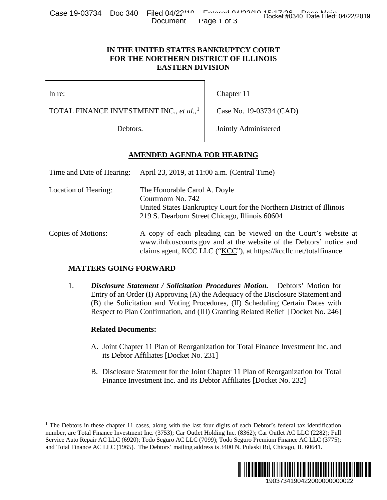Case 19-03734 Doc 340 Filed 04/22<sup>140</sup> Entered 04/20140 a Entered Case 19-03734 Doc 340 Filed: 04/22/2019 Document Page 1 of 3

### **IN THE UNITED STATES BANKRUPTCY COURT FOR THE NORTHERN DISTRICT OF ILLINOIS EASTERN DIVISION**

# **AMENDED AGENDA FOR HEARING**

| <b>URSC ISLOVING</b> DUG JAD                                                                           | $1100 \text{ V} + 22$<br>Document                                                                                                                                                                            | Page 1 of 3                                                                                                                                            | Docket #0340 Date Filed: 04/22/2019                                                                                                                                                                                                                                                                                                                |  |
|--------------------------------------------------------------------------------------------------------|--------------------------------------------------------------------------------------------------------------------------------------------------------------------------------------------------------------|--------------------------------------------------------------------------------------------------------------------------------------------------------|----------------------------------------------------------------------------------------------------------------------------------------------------------------------------------------------------------------------------------------------------------------------------------------------------------------------------------------------------|--|
|                                                                                                        | IN THE UNITED STATES BANKRUPTCY COURT<br>FOR THE NORTHERN DISTRICT OF ILLINOIS<br><b>EASTERN DIVISION</b>                                                                                                    |                                                                                                                                                        |                                                                                                                                                                                                                                                                                                                                                    |  |
| In re:                                                                                                 |                                                                                                                                                                                                              | Chapter 11                                                                                                                                             |                                                                                                                                                                                                                                                                                                                                                    |  |
| TOTAL FINANCE INVESTMENT INC., et al., <sup>1</sup>                                                    |                                                                                                                                                                                                              | Case No. 19-03734 (CAD)                                                                                                                                |                                                                                                                                                                                                                                                                                                                                                    |  |
| Debtors.                                                                                               |                                                                                                                                                                                                              | Jointly Administered                                                                                                                                   |                                                                                                                                                                                                                                                                                                                                                    |  |
|                                                                                                        | <u>AMENDED AGENDA FOR HEARING</u>                                                                                                                                                                            |                                                                                                                                                        |                                                                                                                                                                                                                                                                                                                                                    |  |
| Time and Date of Hearing:<br>April 23, 2019, at 11:00 a.m. (Central Time)                              |                                                                                                                                                                                                              |                                                                                                                                                        |                                                                                                                                                                                                                                                                                                                                                    |  |
| Location of Hearing:                                                                                   | Courtroom No. 742                                                                                                                                                                                            | The Honorable Carol A. Doyle<br>United States Bankruptcy Court for the Northern District of Illinois<br>219 S. Dearborn Street Chicago, Illinois 60604 |                                                                                                                                                                                                                                                                                                                                                    |  |
| Copies of Motions:                                                                                     | A copy of each pleading can be viewed on the Court's website at<br>www.ilnb.uscourts.gov and at the website of the Debtors' notice and<br>claims agent, KCC LLC ("KCC"), at https://kccllc.net/totalfinance. |                                                                                                                                                        |                                                                                                                                                                                                                                                                                                                                                    |  |
| <b>MATTERS GOING FORWARD</b>                                                                           |                                                                                                                                                                                                              |                                                                                                                                                        |                                                                                                                                                                                                                                                                                                                                                    |  |
| 1.                                                                                                     |                                                                                                                                                                                                              |                                                                                                                                                        | <b>Disclosure Statement / Solicitation Procedures Motion.</b> Debtors' Motion for<br>Entry of an Order (I) Approving (A) the Adequacy of the Disclosure Statement and<br>(B) the Solicitation and Voting Procedures, (II) Scheduling Certain Dates with<br>Respect to Plan Confirmation, and (III) Granting Related Relief [Docket No. 246]        |  |
| <b>Related Documents:</b>                                                                              |                                                                                                                                                                                                              |                                                                                                                                                        |                                                                                                                                                                                                                                                                                                                                                    |  |
|                                                                                                        | its Debtor Affiliates [Docket No. 231]                                                                                                                                                                       |                                                                                                                                                        | A. Joint Chapter 11 Plan of Reorganization for Total Finance Investment Inc. and                                                                                                                                                                                                                                                                   |  |
|                                                                                                        | Finance Investment Inc. and its Debtor Affiliates [Docket No. 232]                                                                                                                                           |                                                                                                                                                        | B. Disclosure Statement for the Joint Chapter 11 Plan of Reorganization for Total                                                                                                                                                                                                                                                                  |  |
| nd Total Finance AC LLC (1965). The Debtors' mailing address is 3400 N. Pulaski Rd, Chicago, IL 60641. |                                                                                                                                                                                                              |                                                                                                                                                        | The Debtors in these chapter 11 cases, along with the last four digits of each Debtor's federal tax identification<br>uumber, are Total Finance Investment Inc. (3753); Car Outlet Holding Inc. (8362); Car Outlet AC LLC (2282); Full<br>Service Auto Repair AC LLC (6920); Todo Seguro AC LLC (7099); Todo Seguro Premium Finance AC LLC (3775); |  |
|                                                                                                        |                                                                                                                                                                                                              |                                                                                                                                                        | 1903734190422000000000022                                                                                                                                                                                                                                                                                                                          |  |

## **MATTERS GOING FORWARD**

## **Related Documents:**

- A. Joint Chapter 11 Plan of Reorganization for Total Finance Investment Inc. and its Debtor Affiliates [Docket No. 231]
- B. Disclosure Statement for the Joint Chapter 11 Plan of Reorganization for Total Finance Investment Inc. and its Debtor Affiliates [Docket No. 232]

<span id="page-0-0"></span><sup>&</sup>lt;sup>1</sup> The Debtors in these chapter 11 cases, along with the last four digits of each Debtor's federal tax identification number, are Total Finance Investment Inc. (3753); Car Outlet Holding Inc. (8362); Car Outlet AC LLC (2282); Full Service Auto Repair AC LLC (6920); Todo Seguro AC LLC (7099); Todo Seguro Premium Finance AC LLC (3775); and Total Finance AC LLC (1965). The Debtors' mailing address is 3400 N. Pulaski Rd, Chicago, IL 60641.

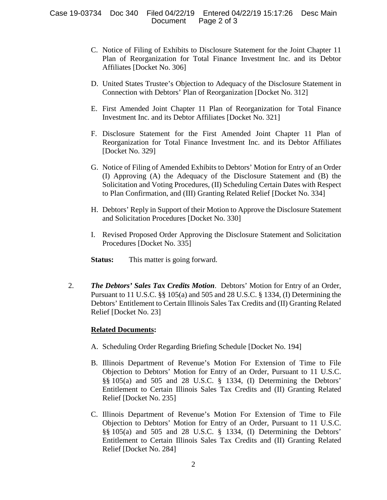- C. Notice of Filing of Exhibits to Disclosure Statement for the Joint Chapter 11 Plan of Reorganization for Total Finance Investment Inc. and its Debtor Affiliates [Docket No. 306]
- D. United States Trustee's Objection to Adequacy of the Disclosure Statement in Connection with Debtors' Plan of Reorganization [Docket No. 312]
- E. First Amended Joint Chapter 11 Plan of Reorganization for Total Finance Investment Inc. and its Debtor Affiliates [Docket No. 321]
- F. Disclosure Statement for the First Amended Joint Chapter 11 Plan of Reorganization for Total Finance Investment Inc. and its Debtor Affiliates [Docket No. 329]
- G. Notice of Filing of Amended Exhibits to Debtors' Motion for Entry of an Order (I) Approving (A) the Adequacy of the Disclosure Statement and (B) the Solicitation and Voting Procedures, (II) Scheduling Certain Dates with Respect to Plan Confirmation, and (III) Granting Related Relief [Docket No. 334]
- H. Debtors' Reply in Support of their Motion to Approve the Disclosure Statement and Solicitation Procedures [Docket No. 330]
- I. Revised Proposed Order Approving the Disclosure Statement and Solicitation Procedures [Docket No. 335]
- **Status:** This matter is going forward.
- 2. *The Debtors' Sales Tax Credits Motion*. Debtors' Motion for Entry of an Order, Pursuant to 11 U.S.C. §§ 105(a) and 505 and 28 U.S.C. § 1334, (I) Determining the Debtors' Entitlement to Certain Illinois Sales Tax Credits and (II) Granting Related Relief [Docket No. 23]

#### **Related Documents:**

- A. Scheduling Order Regarding Briefing Schedule [Docket No. 194]
- B. Illinois Department of Revenue's Motion For Extension of Time to File Objection to Debtors' Motion for Entry of an Order, Pursuant to 11 U.S.C. §§ 105(a) and 505 and 28 U.S.C. § 1334, (I) Determining the Debtors' Entitlement to Certain Illinois Sales Tax Credits and (II) Granting Related Relief [Docket No. 235]
- C. Illinois Department of Revenue's Motion For Extension of Time to File Objection to Debtors' Motion for Entry of an Order, Pursuant to 11 U.S.C. §§ 105(a) and 505 and 28 U.S.C. § 1334, (I) Determining the Debtors' Entitlement to Certain Illinois Sales Tax Credits and (II) Granting Related Relief [Docket No. 284]